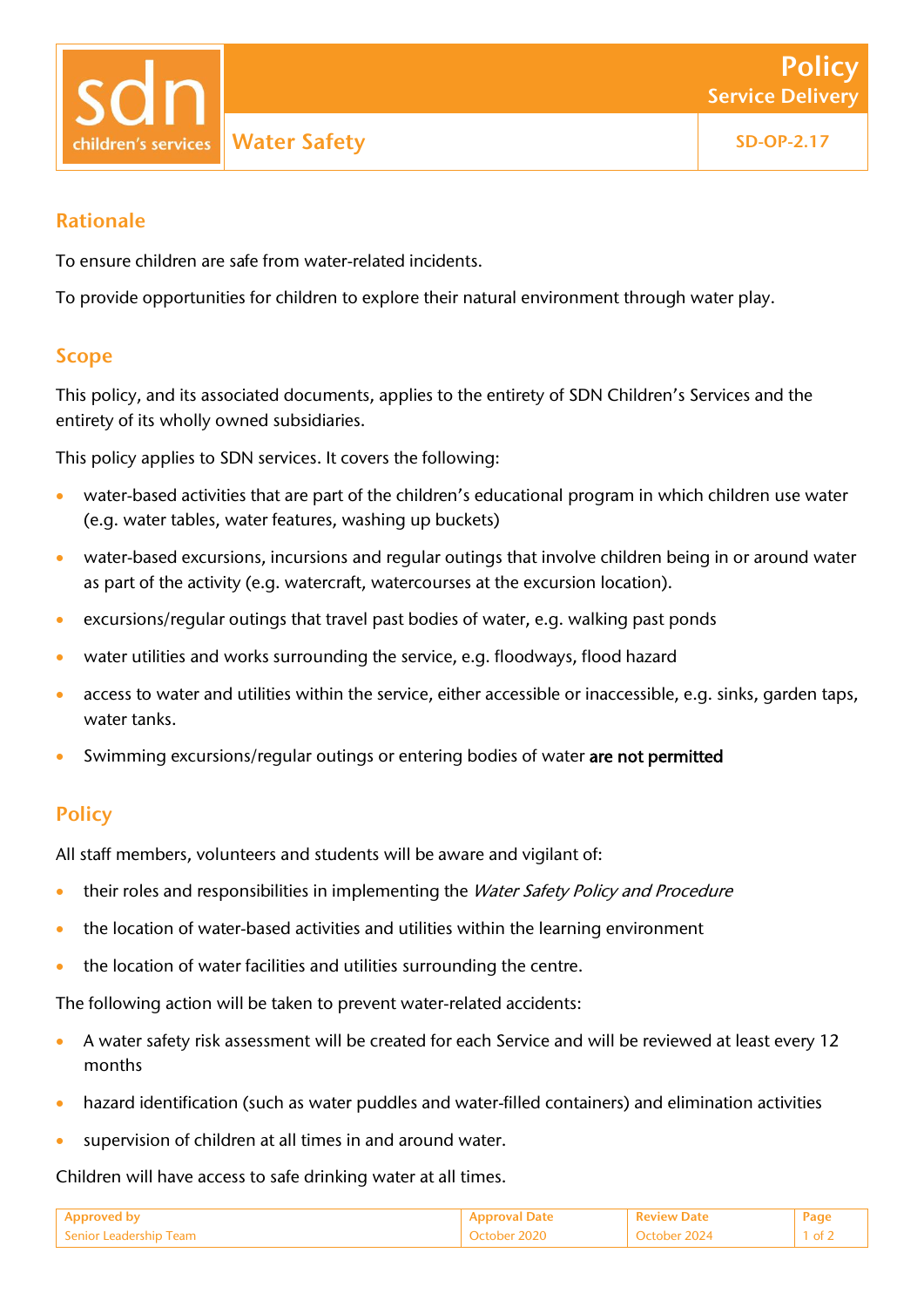Water Safety **SC** SD-OP-2.17 children's services

### Rationale

To ensure children are safe from water-related incidents.

To provide opportunities for children to explore their natural environment through water play.

#### Scope

This policy, and its associated documents, applies to the entirety of SDN Children's Services and the entirety of its wholly owned subsidiaries.

This policy applies to SDN services. It covers the following:

- water-based activities that are part of the children's educational program in which children use water (e.g. water tables, water features, washing up buckets)
- water-based excursions, incursions and regular outings that involve children being in or around water as part of the activity (e.g. watercraft, watercourses at the excursion location).
- excursions/regular outings that travel past bodies of water, e.g. walking past ponds
- water utilities and works surrounding the service, e.g. floodways, flood hazard
- access to water and utilities within the service, either accessible or inaccessible, e.g. sinks, garden taps, water tanks.
- Swimming excursions/regular outings or entering bodies of water are not permitted

## **Policy**

All staff members, volunteers and students will be aware and vigilant of:

- their roles and responsibilities in implementing the Water Safety Policy and Procedure
- the location of water-based activities and utilities within the learning environment
- the location of water facilities and utilities surrounding the centre.

The following action will be taken to prevent water-related accidents:

- A water safety risk assessment will be created for each Service and will be reviewed at least every 12 months
- hazard identification (such as water puddles and water-filled containers) and elimination activities
- supervision of children at all times in and around water.

Children will have access to safe drinking water at all times.

| Approved by            |              | <b>Review Date</b>      |  |
|------------------------|--------------|-------------------------|--|
| Senior Leadership Team | October 2020 | -2024<br><b>Catabor</b> |  |